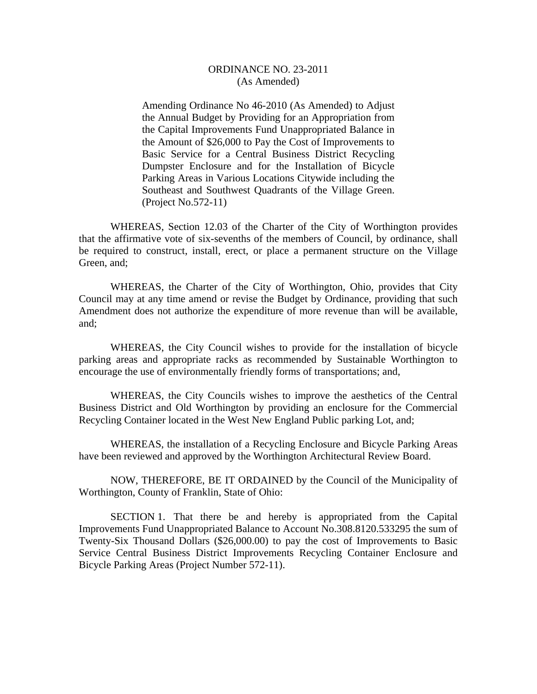## ORDINANCE NO. 23-2011 (As Amended)

Amending Ordinance No 46-2010 (As Amended) to Adjust the Annual Budget by Providing for an Appropriation from the Capital Improvements Fund Unappropriated Balance in the Amount of \$26,000 to Pay the Cost of Improvements to Basic Service for a Central Business District Recycling Dumpster Enclosure and for the Installation of Bicycle Parking Areas in Various Locations Citywide including the Southeast and Southwest Quadrants of the Village Green. (Project No.572-11)

WHEREAS, Section 12.03 of the Charter of the City of Worthington provides that the affirmative vote of six-sevenths of the members of Council, by ordinance, shall be required to construct, install, erect, or place a permanent structure on the Village Green, and;

WHEREAS, the Charter of the City of Worthington, Ohio, provides that City Council may at any time amend or revise the Budget by Ordinance, providing that such Amendment does not authorize the expenditure of more revenue than will be available, and;

WHEREAS, the City Council wishes to provide for the installation of bicycle parking areas and appropriate racks as recommended by Sustainable Worthington to encourage the use of environmentally friendly forms of transportations; and,

WHEREAS, the City Councils wishes to improve the aesthetics of the Central Business District and Old Worthington by providing an enclosure for the Commercial Recycling Container located in the West New England Public parking Lot, and;

WHEREAS, the installation of a Recycling Enclosure and Bicycle Parking Areas have been reviewed and approved by the Worthington Architectural Review Board.

NOW, THEREFORE, BE IT ORDAINED by the Council of the Municipality of Worthington, County of Franklin, State of Ohio:

SECTION 1. That there be and hereby is appropriated from the Capital Improvements Fund Unappropriated Balance to Account No.308.8120.533295 the sum of Twenty-Six Thousand Dollars (\$26,000.00) to pay the cost of Improvements to Basic Service Central Business District Improvements Recycling Container Enclosure and Bicycle Parking Areas (Project Number 572-11).